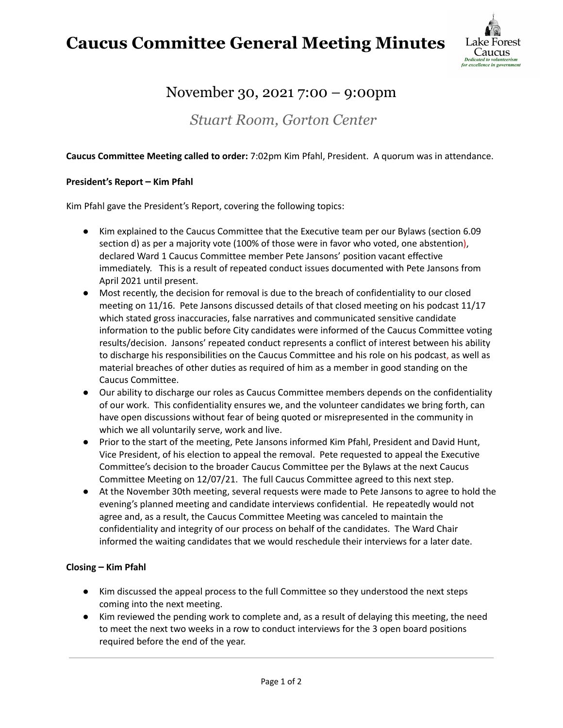## **Caucus Committee General Meeting Minutes**



### November 30, 2021 7:00 – 9:00pm

*Stuart Room, Gorton Center*

#### **Caucus Committee Meeting called to order:** 7:02pm Kim Pfahl, President. A quorum was in attendance.

#### **President's Report – Kim Pfahl**

Kim Pfahl gave the President's Report, covering the following topics:

- Kim explained to the Caucus Committee that the Executive team per our Bylaws (section 6.09 section d) as per a majority vote (100% of those were in favor who voted, one abstention), declared Ward 1 Caucus Committee member Pete Jansons' position vacant effective immediately. This is a result of repeated conduct issues documented with Pete Jansons from April 2021 until present.
- Most recently, the decision for removal is due to the breach of confidentiality to our closed meeting on 11/16. Pete Jansons discussed details of that closed meeting on his podcast 11/17 which stated gross inaccuracies, false narratives and communicated sensitive candidate information to the public before City candidates were informed of the Caucus Committee voting results/decision. Jansons' repeated conduct represents a conflict of interest between his ability to discharge his responsibilities on the Caucus Committee and his role on his podcast, as well as material breaches of other duties as required of him as a member in good standing on the Caucus Committee.
- Our ability to discharge our roles as Caucus Committee members depends on the confidentiality of our work. This confidentiality ensures we, and the volunteer candidates we bring forth, can have open discussions without fear of being quoted or misrepresented in the community in which we all voluntarily serve, work and live.
- Prior to the start of the meeting, Pete Jansons informed Kim Pfahl, President and David Hunt, Vice President, of his election to appeal the removal. Pete requested to appeal the Executive Committee's decision to the broader Caucus Committee per the Bylaws at the next Caucus Committee Meeting on 12/07/21. The full Caucus Committee agreed to this next step.
- At the November 30th meeting, several requests were made to Pete Jansons to agree to hold the evening's planned meeting and candidate interviews confidential. He repeatedly would not agree and, as a result, the Caucus Committee Meeting was canceled to maintain the confidentiality and integrity of our process on behalf of the candidates. The Ward Chair informed the waiting candidates that we would reschedule their interviews for a later date.

#### **Closing – Kim Pfahl**

- Kim discussed the appeal process to the full Committee so they understood the next steps coming into the next meeting.
- Kim reviewed the pending work to complete and, as a result of delaying this meeting, the need to meet the next two weeks in a row to conduct interviews for the 3 open board positions required before the end of the year.